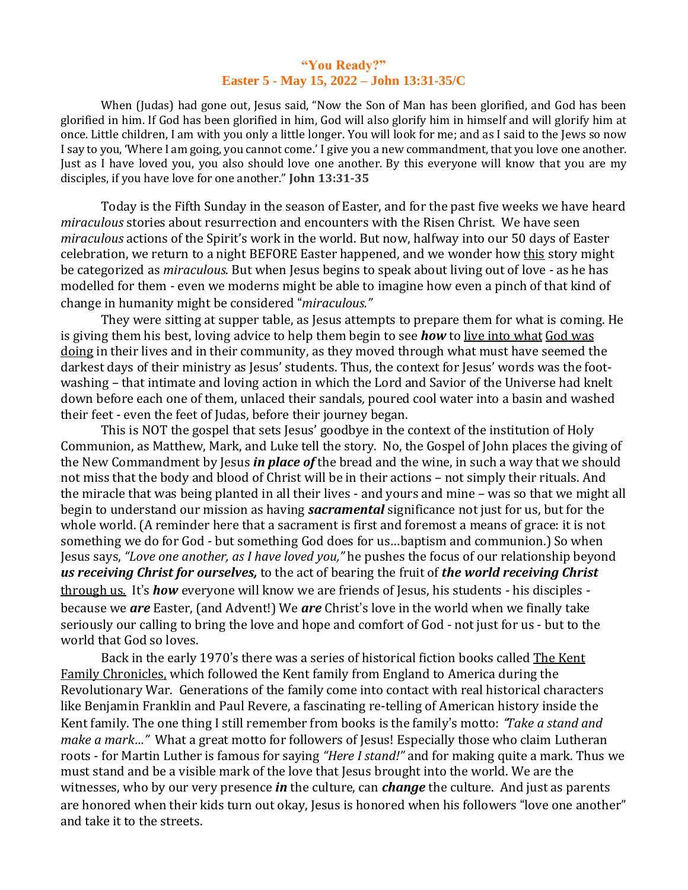## **"You Ready?" Easter 5 - May 15, 2022 – John 13:31-35/C**

When (Judas) had gone out, Jesus said, "Now the Son of Man has been glorified, and God has been glorified in him. If God has been glorified in him, God will also glorify him in himself and will glorify him at once. Little children, I am with you only a little longer. You will look for me; and as I said to the Jews so now I say to you, 'Where I am going, you cannot come.' I give you a new commandment, that you love one another. Just as I have loved you, you also should love one another. By this everyone will know that you are my disciples, if you have love for one another." **John 13:31-35** 

Today is the Fifth Sunday in the season of Easter, and for the past five weeks we have heard *miraculous* stories about resurrection and encounters with the Risen Christ. We have seen *miraculous* actions of the Spirit's work in the world. But now, halfway into our 50 days of Easter celebration, we return to a night BEFORE Easter happened, and we wonder how this story might be categorized as *miraculous*. But when Jesus begins to speak about living out of love - as he has modelled for them - even we moderns might be able to imagine how even a pinch of that kind of change in humanity might be considered "*miraculous."*

They were sitting at supper table, as Jesus attempts to prepare them for what is coming. He is giving them his best, loving advice to help them begin to see *how* to live into what God was doing in their lives and in their community, as they moved through what must have seemed the darkest days of their ministry as Jesus' students. Thus, the context for Jesus' words was the footwashing – that intimate and loving action in which the Lord and Savior of the Universe had knelt down before each one of them, unlaced their sandals, poured cool water into a basin and washed their feet - even the feet of Judas, before their journey began.

This is NOT the gospel that sets Jesus' goodbye in the context of the institution of Holy Communion, as Matthew, Mark, and Luke tell the story. No, the Gospel of John places the giving of the New Commandment by Jesus *in place of* the bread and the wine, in such a way that we should not miss that the body and blood of Christ will be in their actions – not simply their rituals. And the miracle that was being planted in all their lives - and yours and mine – was so that we might all begin to understand our mission as having *sacramental* significance not just for us, but for the whole world. (A reminder here that a sacrament is first and foremost a means of grace: it is not something we do for God - but something God does for us…baptism and communion.) So when Jesus says, *"Love one another, as I have loved you,"* he pushes the focus of our relationship beyond *us receiving Christ for ourselves,* to the act of bearing the fruit of *the world receiving Christ* through us. It's *how* everyone will know we are friends of Jesus, his students - his disciples because we *are* Easter, (and Advent!) We *are* Christ's love in the world when we finally take seriously our calling to bring the love and hope and comfort of God - not just for us - but to the world that God so loves.

Back in the early 1970's there was a series of historical fiction books called The Kent Family Chronicles, which followed the Kent family from England to America during the Revolutionary War. Generations of the family come into contact with real historical characters like Benjamin Franklin and Paul Revere, a fascinating re-telling of American history inside the Kent family. The one thing I still remember from books is the family's motto: "*Take a stand and make a mark…"* What a great motto for followers of Jesus! Especially those who claim Lutheran roots - for Martin Luther is famous for saying *"Here I stand!"* and for making quite a mark. Thus we must stand and be a visible mark of the love that Jesus brought into the world. We are the witnesses, who by our very presence *in* the culture, can *change* the culture. And just as parents are honored when their kids turn out okay, Jesus is honored when his followers "love one another" and take it to the streets.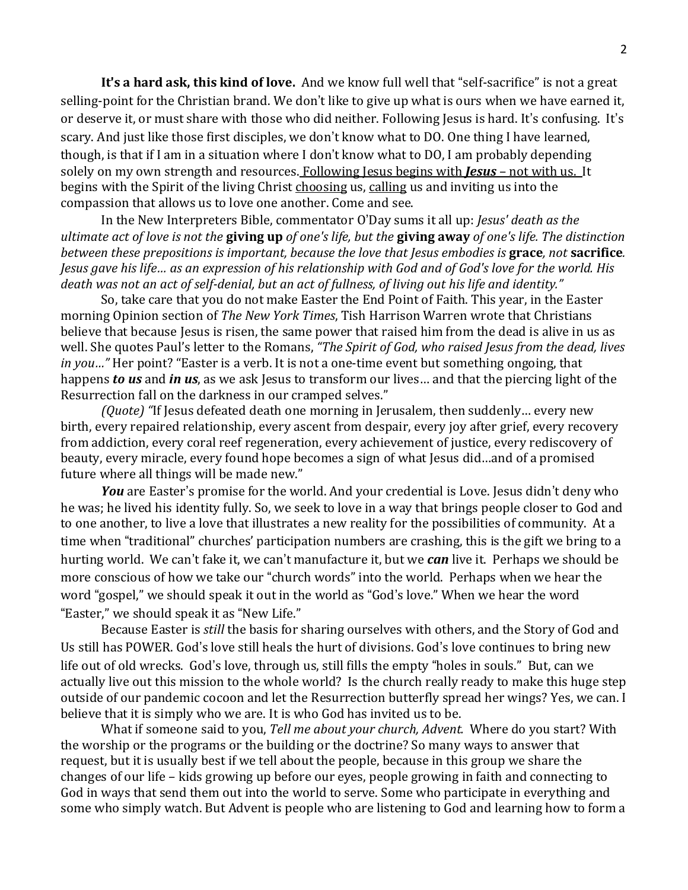**It**'**s a hard ask, this kind of love.** And we know full well that "self-sacrifice" is not a great selling-point for the Christian brand. We don't like to give up what is ours when we have earned it, or deserve it, or must share with those who did neither. Following Jesus is hard. It's confusing. It's scary. And just like those first disciples, we don't know what to DO. One thing I have learned, though, is that if I am in a situation where I don't know what to DO, I am probably depending solely on my own strength and resources. Following Jesus begins with *Jesus* – not with us. It begins with the Spirit of the living Christ choosing us, calling us and inviting us into the compassion that allows us to love one another. Come and see.

In the New Interpreters Bible, commentator O'Day sums it all up: *Jesus' death as the* ultimate act of love is not the giving up of one's life, but the giving away of one's life. The distinction *between these prepositions is important, because the love that Jesus embodies is* **grace***, not* **sacrifice***.*  Jesus gave his life... as an expression of his relationship with God and of God's love for the world. His death was not an act of self-denial, but an act of fullness, of living out his life and identity."

So, take care that you do not make Easter the End Point of Faith. This year, in the Easter morning Opinion section of *The New York Times*, Tish Harrison Warren wrote that Christians believe that because Jesus is risen, the same power that raised him from the dead is alive in us as well. She quotes Paul's letter to the Romans, *"The Spirit of God, who raised Jesus from the dead, lives in you…"* Her point? "Easter is a verb. It is not a one-time event but something ongoing, that happens *to us* and *in us*, as we ask Jesus to transform our lives… and that the piercing light of the Resurrection fall on the darkness in our cramped selves."

*(Quote) "*If Jesus defeated death one morning in Jerusalem, then suddenly… every new birth, every repaired relationship, every ascent from despair, every joy after grief, every recovery from addiction, every coral reef regeneration, every achievement of justice, every rediscovery of beauty, every miracle, every found hope becomes a sign of what Jesus did…and of a promised future where all things will be made new."

*You* are Easter's promise for the world. And your credential is Love. Jesus didn't deny who he was; he lived his identity fully. So, we seek to love in a way that brings people closer to God and to one another, to live a love that illustrates a new reality for the possibilities of community. At a time when "traditional" churches' participation numbers are crashing, this is the gift we bring to a hurting world. We can't fake it, we can't manufacture it, but we *can* live it. Perhaps we should be more conscious of how we take our "church words" into the world. Perhaps when we hear the word "gospel," we should speak it out in the world as "God's love." When we hear the word "Easter," we should speak it as "New Life."

Because Easter is *still* the basis for sharing ourselves with others, and the Story of God and Us still has POWER. God's love still heals the hurt of divisions. God's love continues to bring new life out of old wrecks. God's love, through us, still fills the empty "holes in souls." But, can we actually live out this mission to the whole world? Is the church really ready to make this huge step outside of our pandemic cocoon and let the Resurrection butterfly spread her wings? Yes, we can. I believe that it is simply who we are. It is who God has invited us to be.

What if someone said to you, *Tell me about your church, Advent.* Where do you start? With the worship or the programs or the building or the doctrine? So many ways to answer that request, but it is usually best if we tell about the people, because in this group we share the changes of our life – kids growing up before our eyes, people growing in faith and connecting to God in ways that send them out into the world to serve. Some who participate in everything and some who simply watch. But Advent is people who are listening to God and learning how to form a